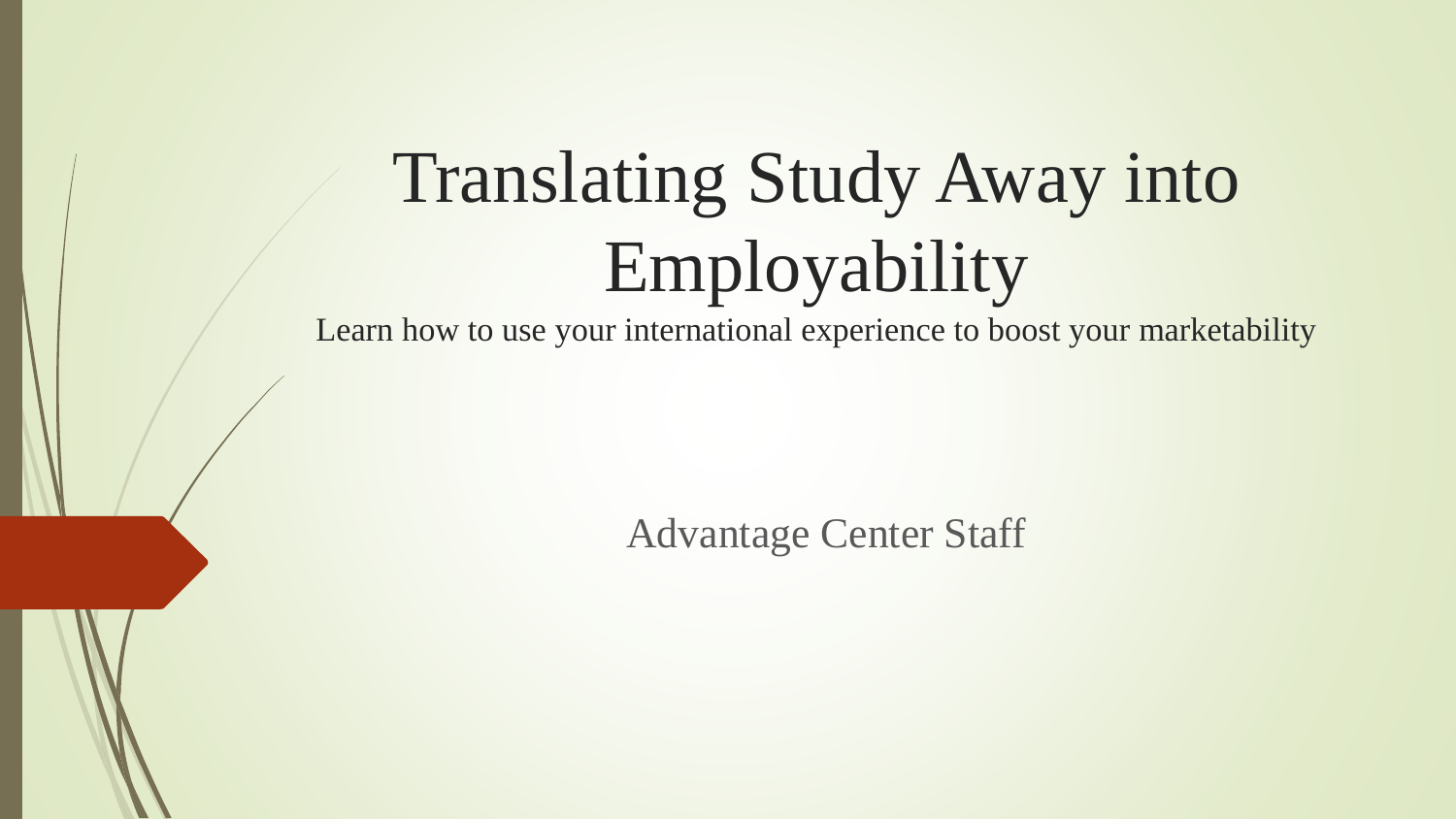## Translating Study Away into Employability

Learn how to use your international experience to boost your marketability

Advantage Center Staff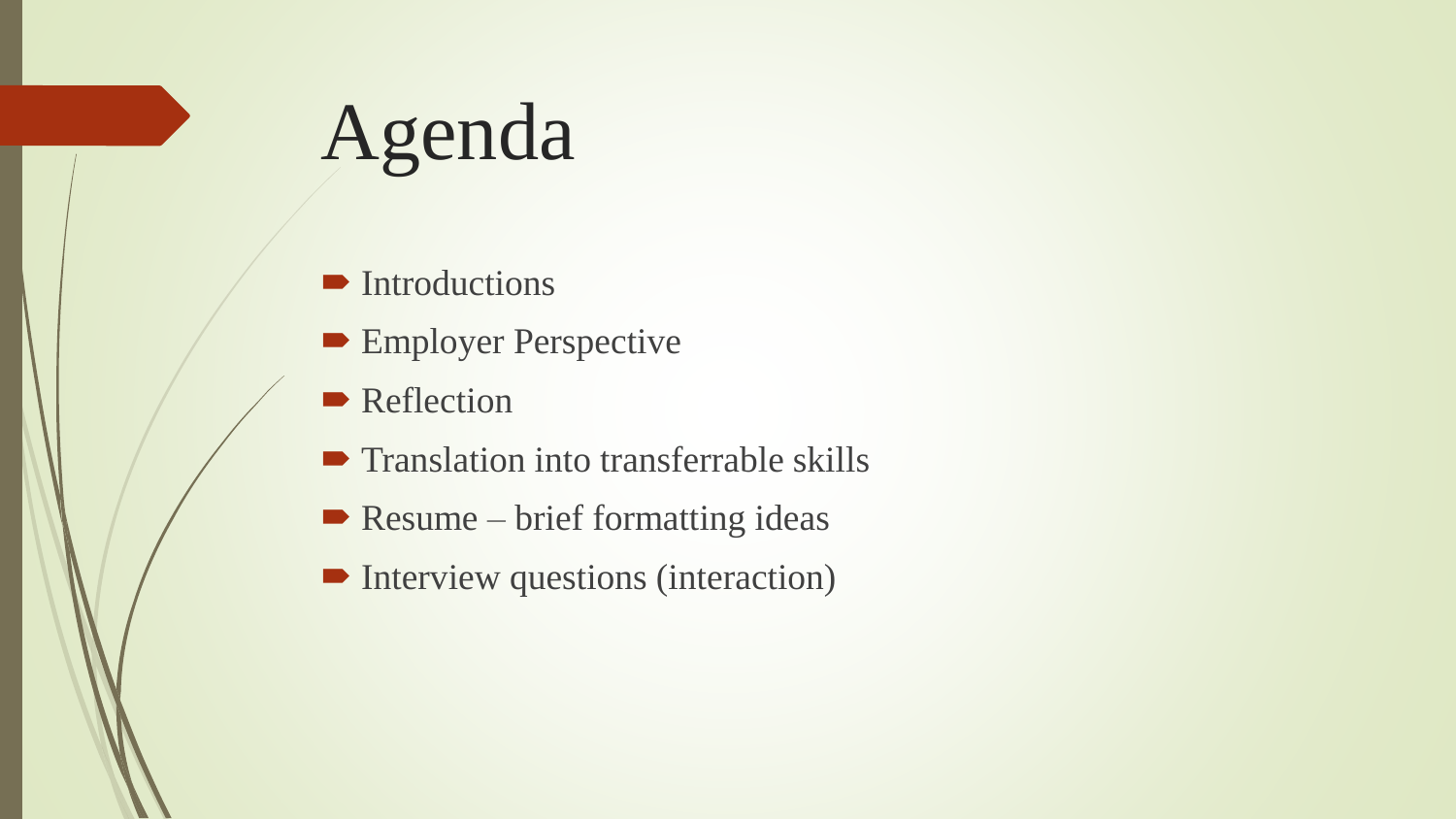## Agenda

- **Introductions**
- **Employer Perspective**
- **Reflection**
- **Translation into transferrable skills**
- $\blacktriangleright$  Resume brief formatting ideas
- **Interview questions (interaction)**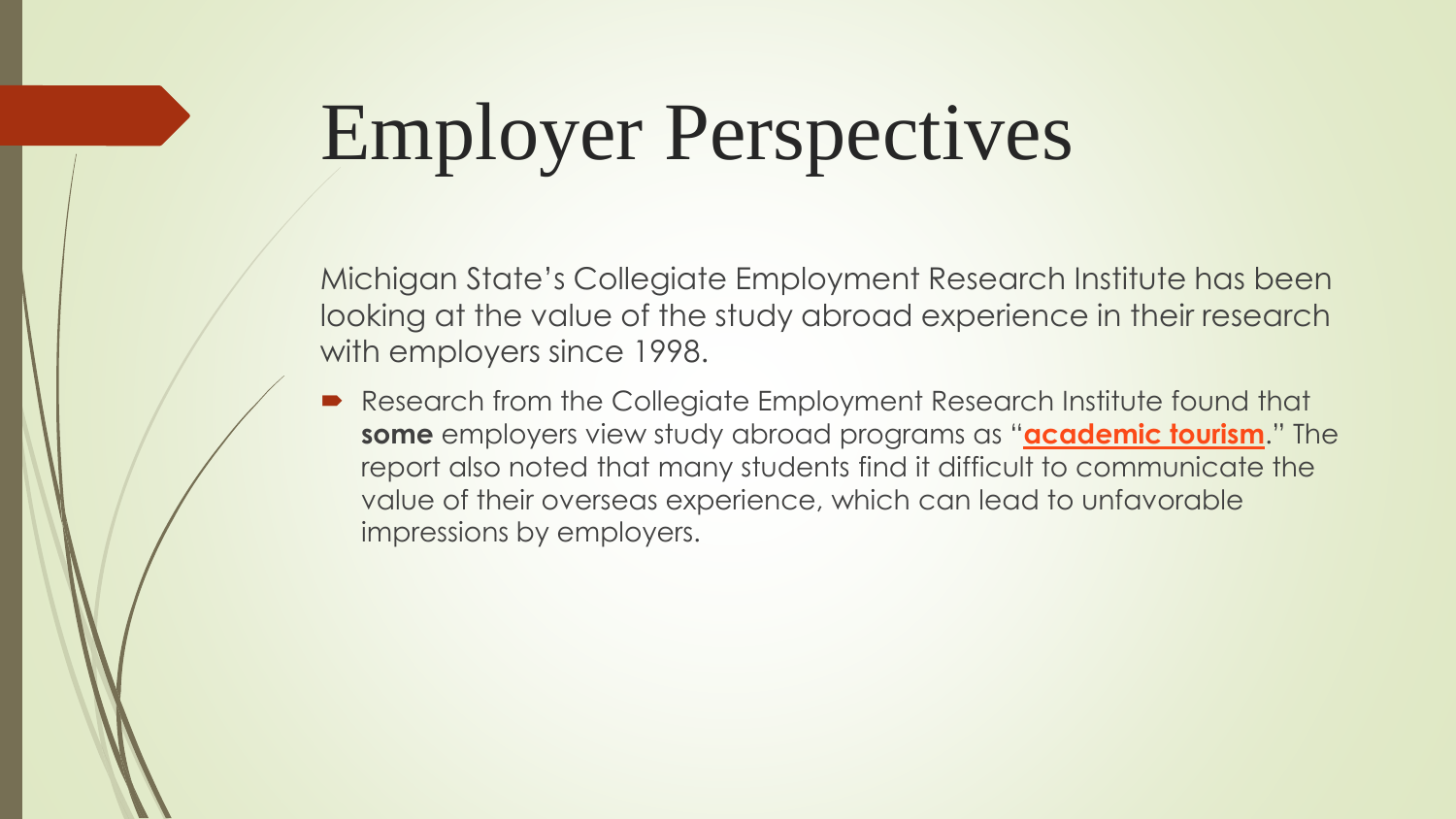## Employer Perspectives

Michigan State's Collegiate Employment Research Institute has been looking at the value of the study abroad experience in their research with employers since 1998.

Research from the Collegiate Employment Research Institute found that **some** employers view study abroad programs as "**[academic tourism](http://studyabroad.isp.msu.edu/people/unpacking_brief.pdf)**." The report also noted that many students find it difficult to communicate the value of their overseas experience, which can lead to unfavorable impressions by employers.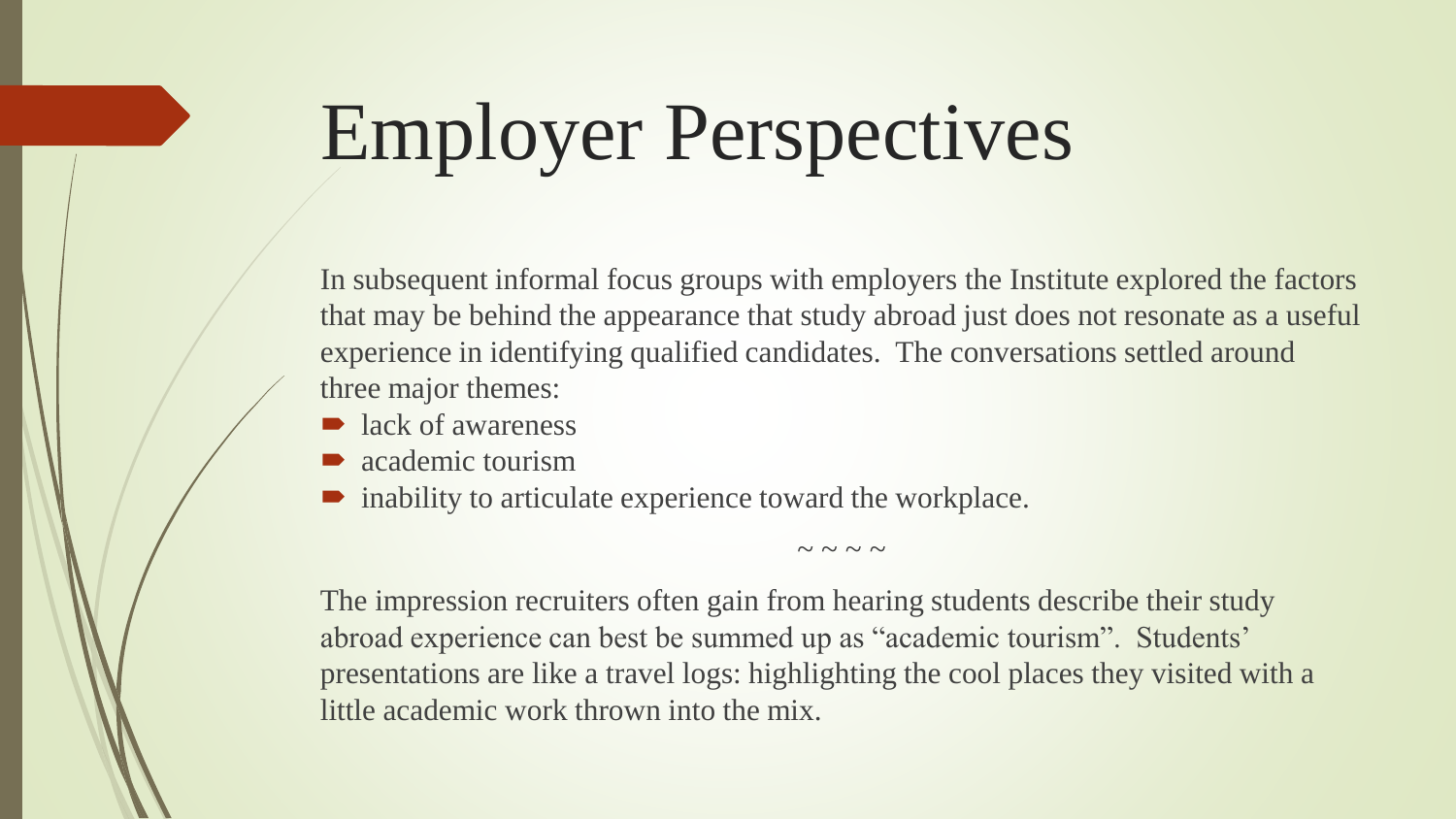# Employer Perspectives

In subsequent informal focus groups with employers the Institute explored the factors that may be behind the appearance that study abroad just does not resonate as a useful experience in identifying qualified candidates. The conversations settled around three major themes:

 $\sim$  ~ ~ ~

- lack of awareness
- academic tourism
- inability to articulate experience toward the workplace.

The impression recruiters often gain from hearing students describe their study abroad experience can best be summed up as "academic tourism". Students' presentations are like a travel logs: highlighting the cool places they visited with a little academic work thrown into the mix.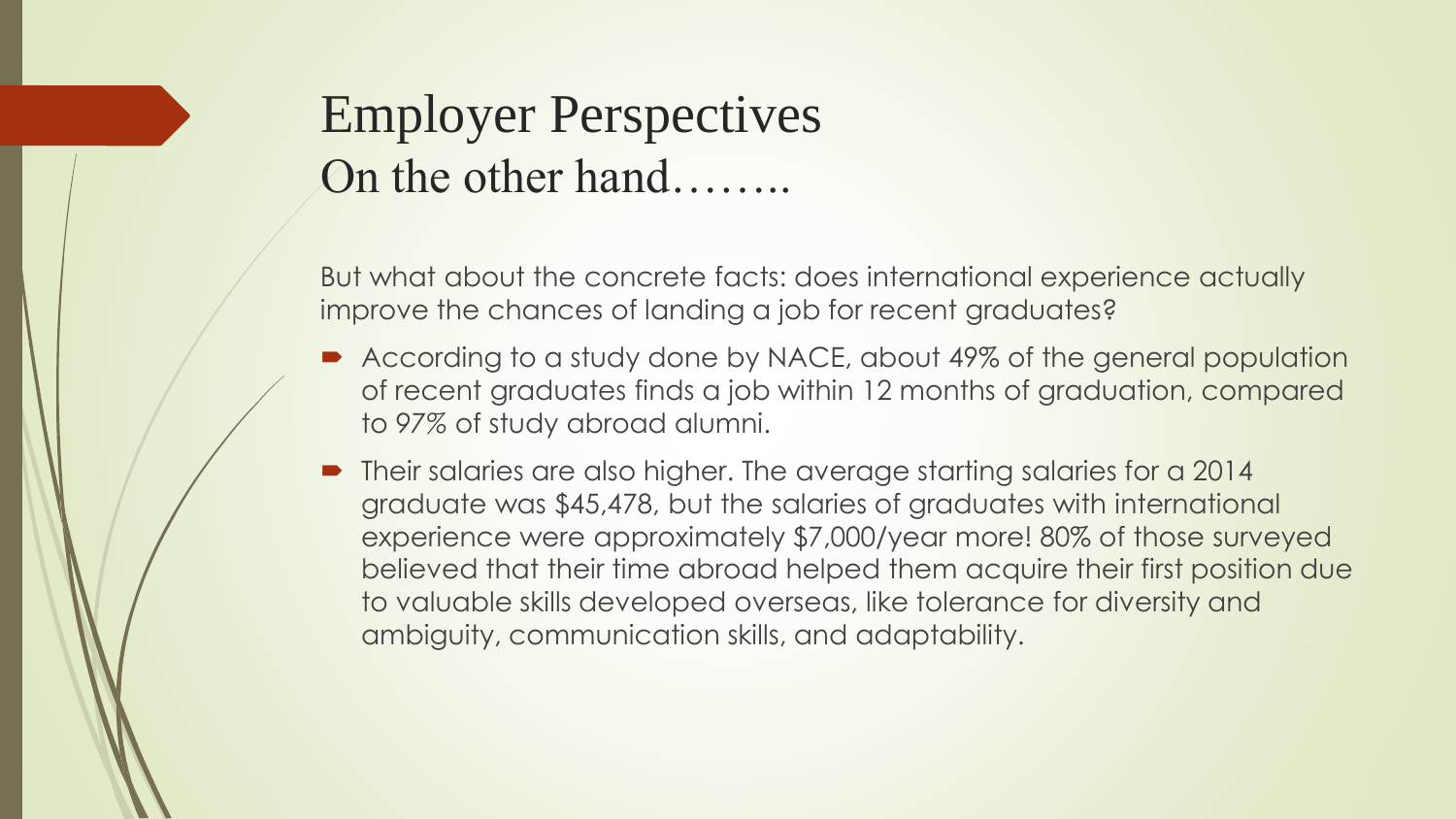### Employer Perspectives On the other hand……..

But what about the concrete facts: does international experience actually improve the chances of landing a job for recent graduates?

- According to a study done by NACE, about 49% of the general population of recent graduates finds a job within 12 months of graduation, compared to *97%* of study abroad alumni.
- Their salaries are also higher. The average starting salaries for a 2014 graduate was \$45,478, but the salaries of graduates with international experience were approximately \$7,000/year more! 80% of those surveyed believed that their time abroad helped them acquire their first position due to valuable skills developed overseas, like tolerance for diversity and ambiguity, communication skills, and adaptability.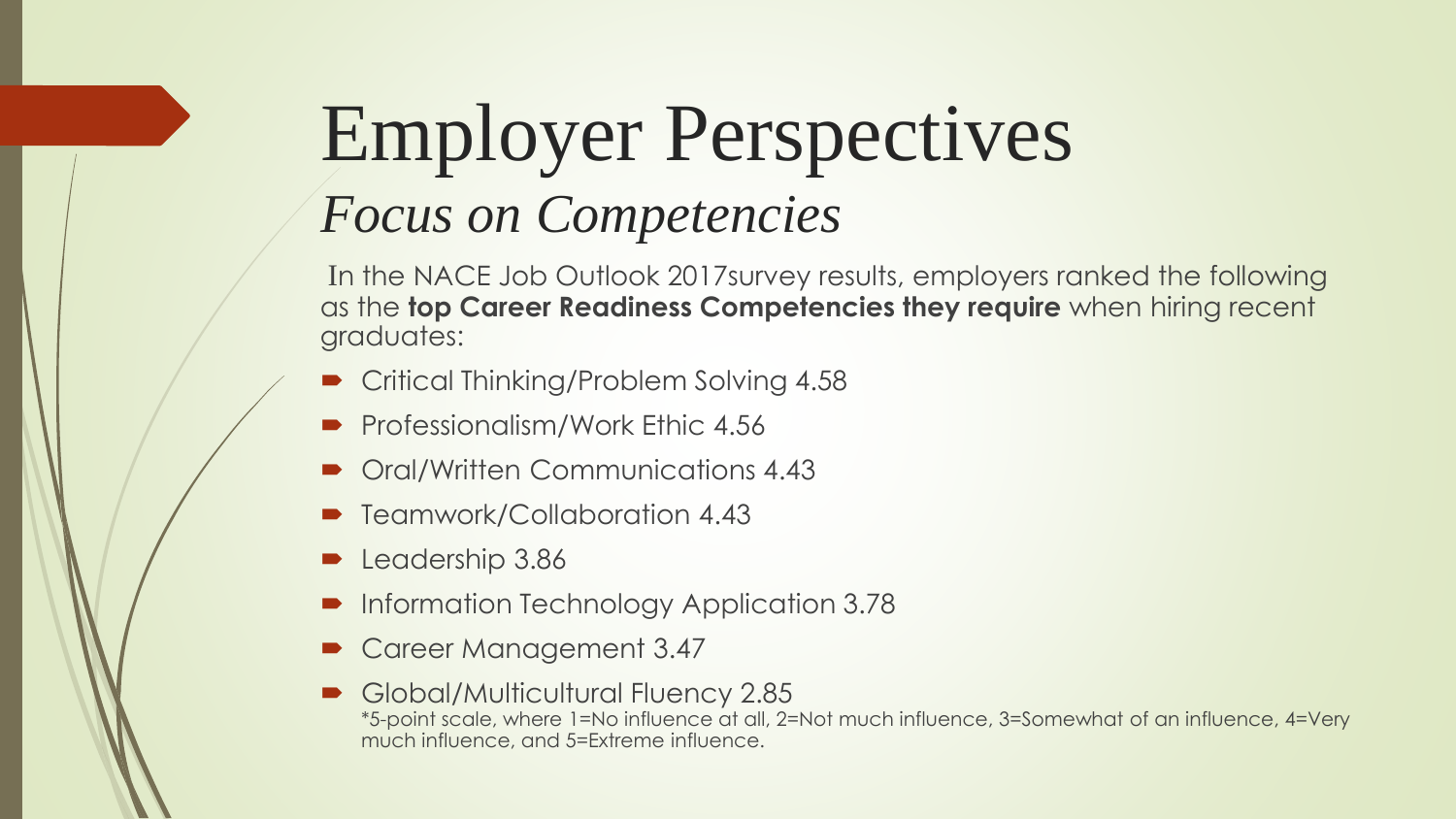### Employer Perspectives *Focus on Competencies*

In the NACE Job Outlook 2017survey results, employers ranked the following as the **top Career Readiness Competencies they require** when hiring recent graduates:

- Critical Thinking/Problem Solving 4.58
- Professionalism/Work Ethic 4.56
- Oral/Written Communications 4.43
- Teamwork/Collaboration 4.43
- Leadership 3.86
- Information Technology Application 3.78
- Career Management 3.47
- Global/Multicultural Fluency 2.85 \*5-point scale, where 1=No influence at all, 2=Not much influence, 3=Somewhat of an influence, 4=Very much influence, and 5=Extreme influence.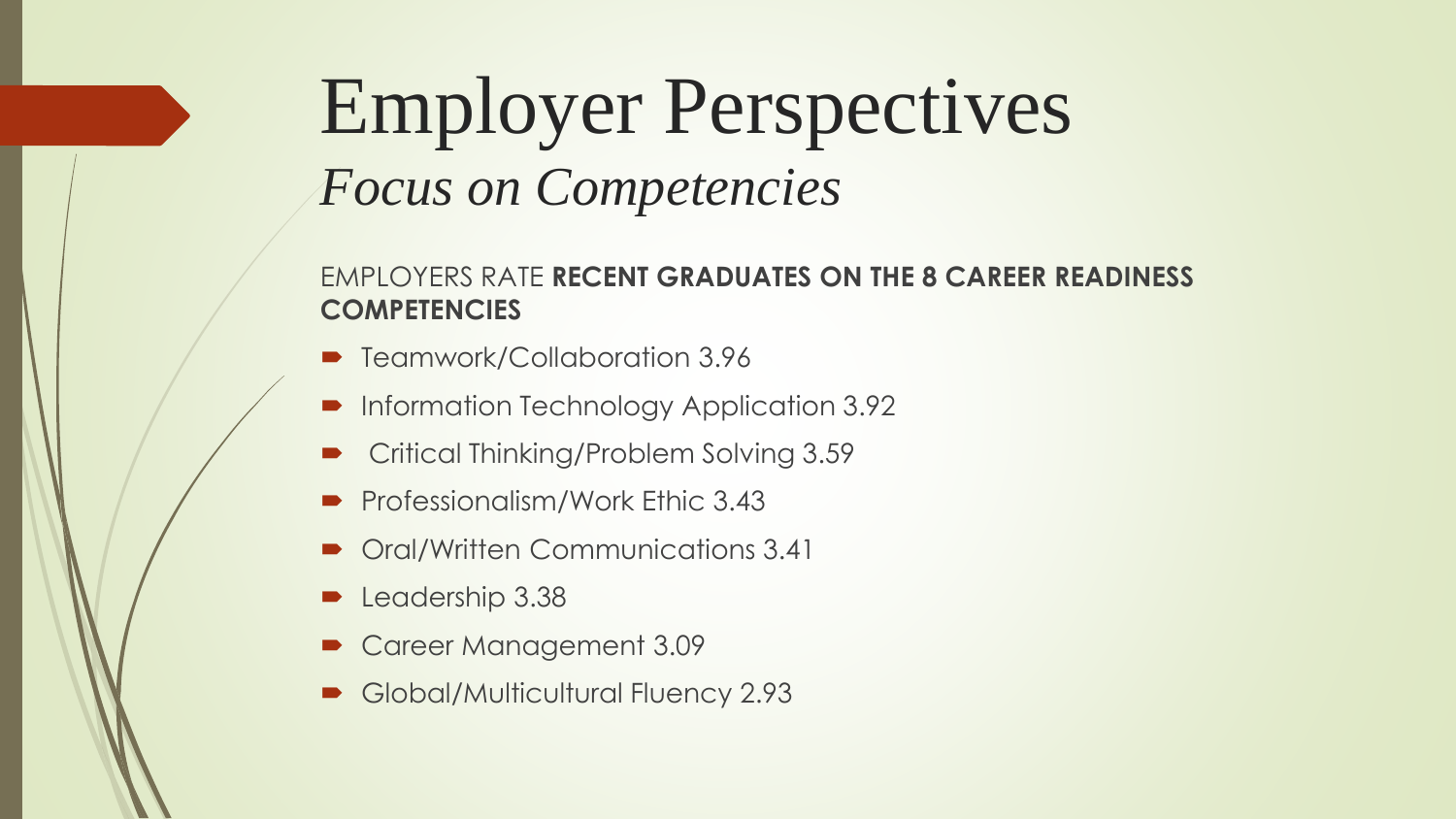### Employer Perspectives *Focus on Competencies*

#### EMPLOYERS RATE **RECENT GRADUATES ON THE 8 CAREER READINESS COMPETENCIES**

- Teamwork/Collaboration 3.96
- **Information Technology Application 3.92**
- Critical Thinking/Problem Solving 3.59
- Professionalism/Work Ethic 3.43
- Oral/Written Communications 3.41
- Leadership 3.38
- Career Management 3.09
- Global/Multicultural Fluency 2.93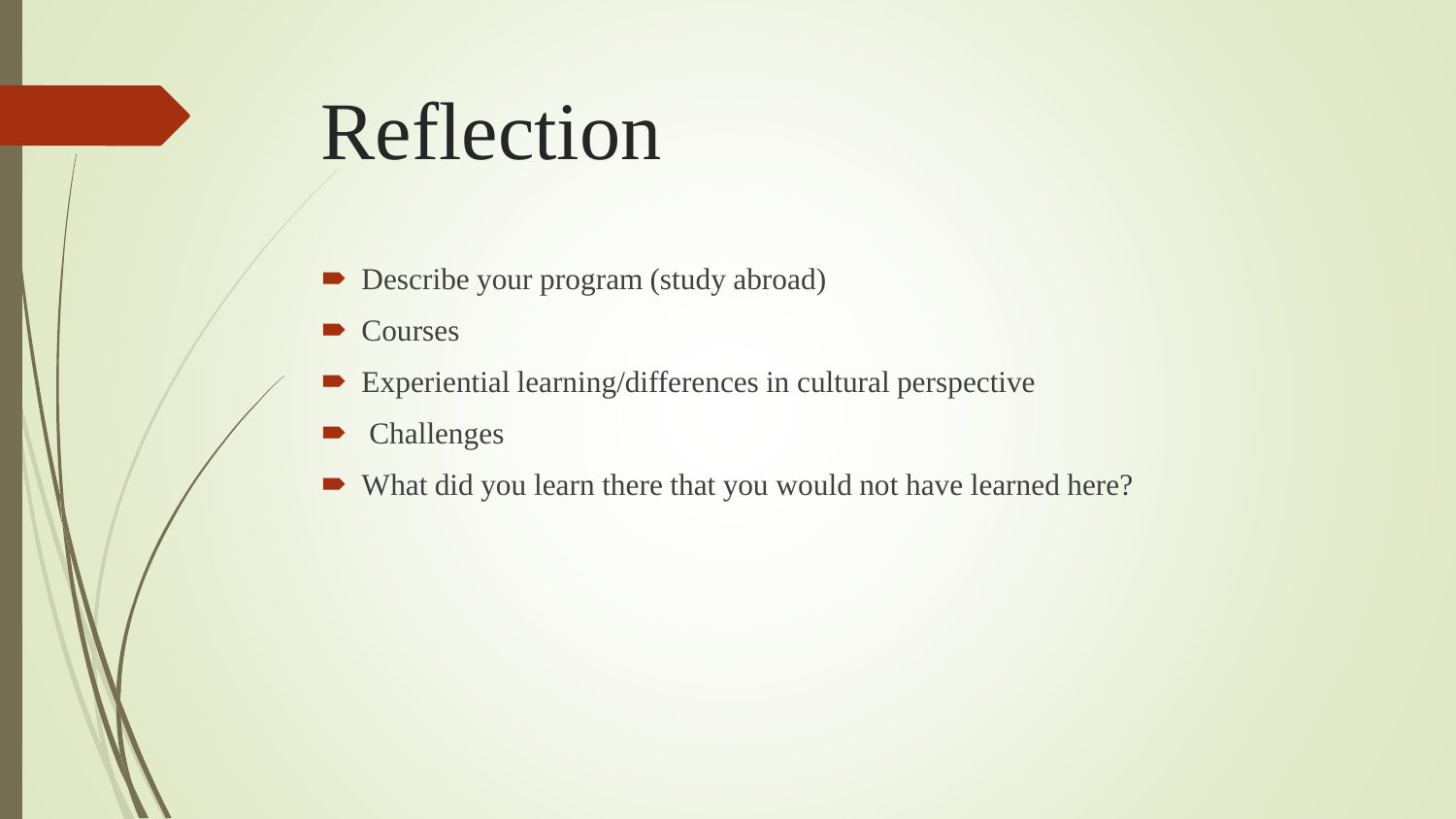## Reflection

- Describe your program (study abroad)
- Courses
- Experiential learning/differences in cultural perspective
- Challenges
- What did you learn there that you would not have learned here?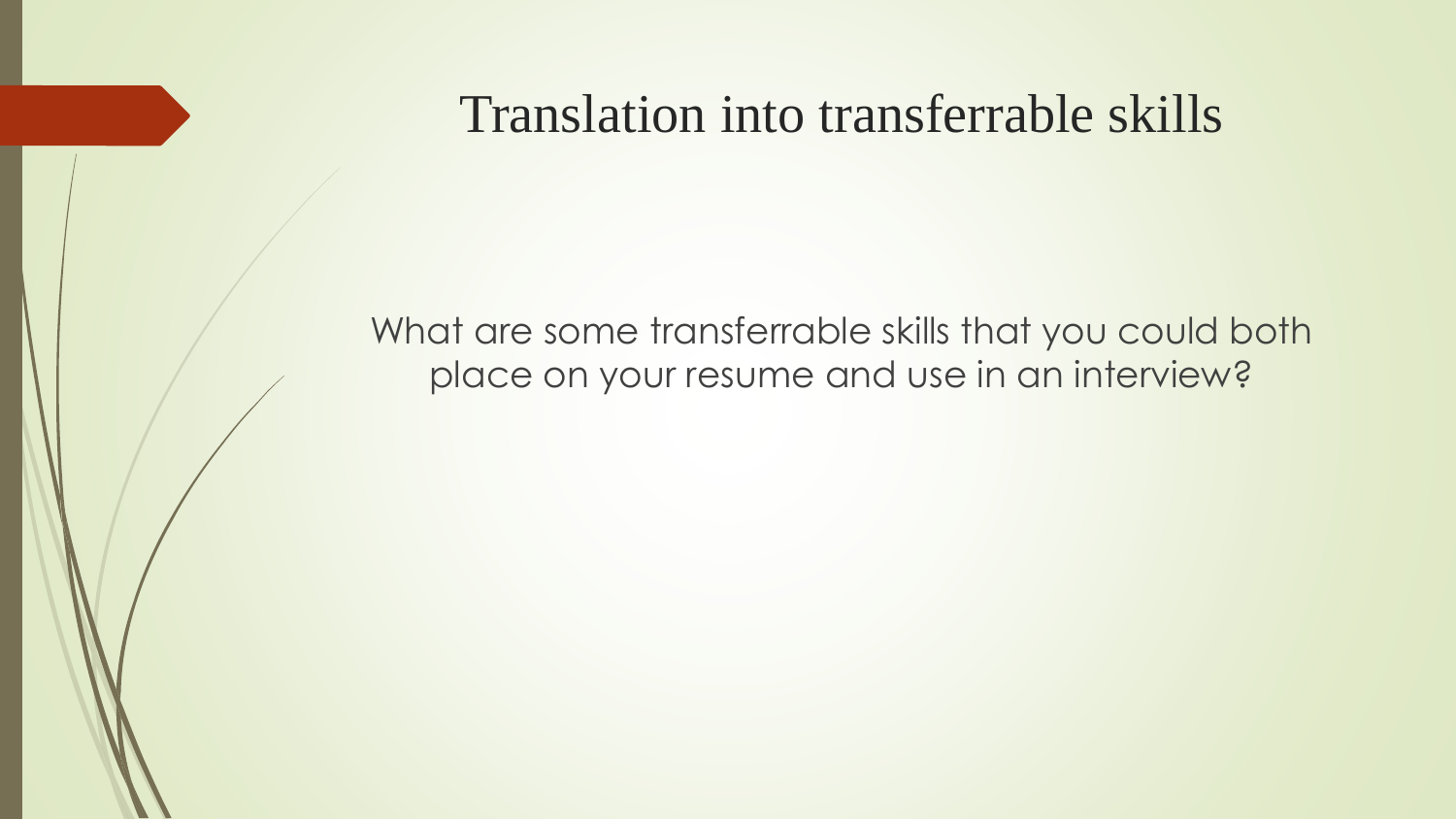#### Translation into transferrable skills

What are some transferrable skills that you could both place on your resume and use in an interview?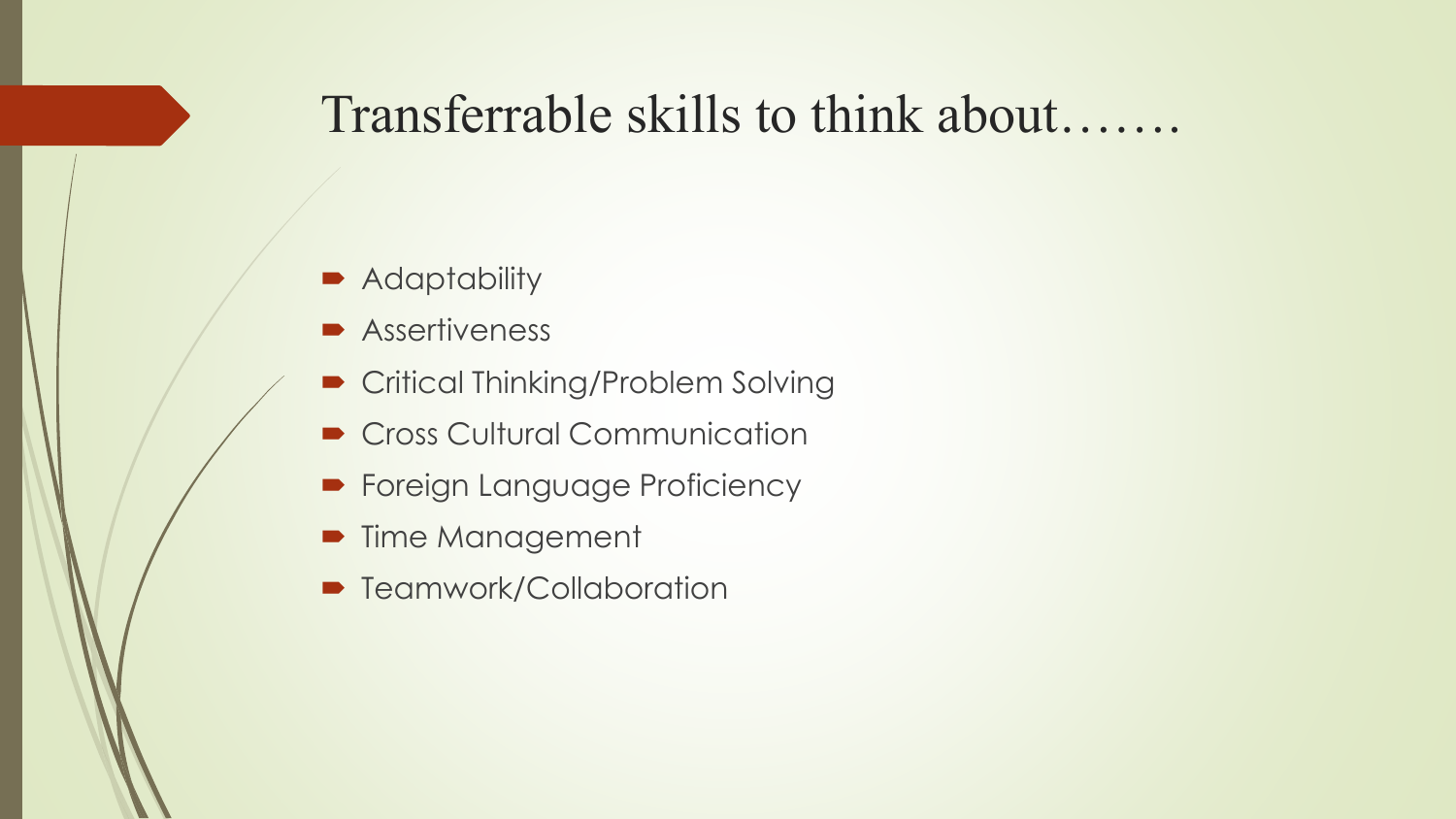#### Transferrable skills to think about…….

- **Adaptability**
- **Assertiveness**
- Critical Thinking/Problem Solving
- Cross Cultural Communication
- **Foreign Language Proficiency**
- **Time Management**
- Teamwork/Collaboration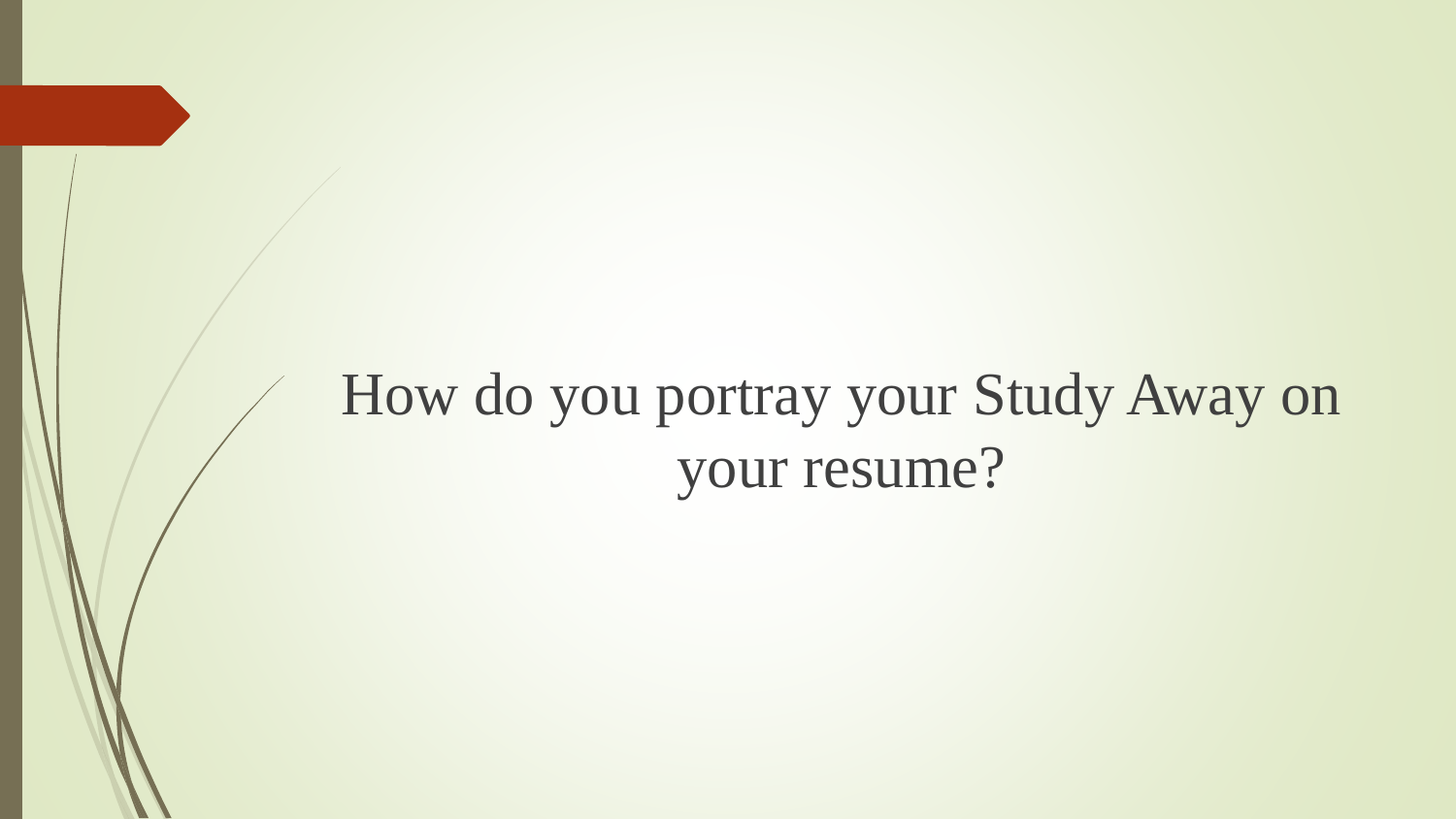### How do you portray your Study Away on your resume?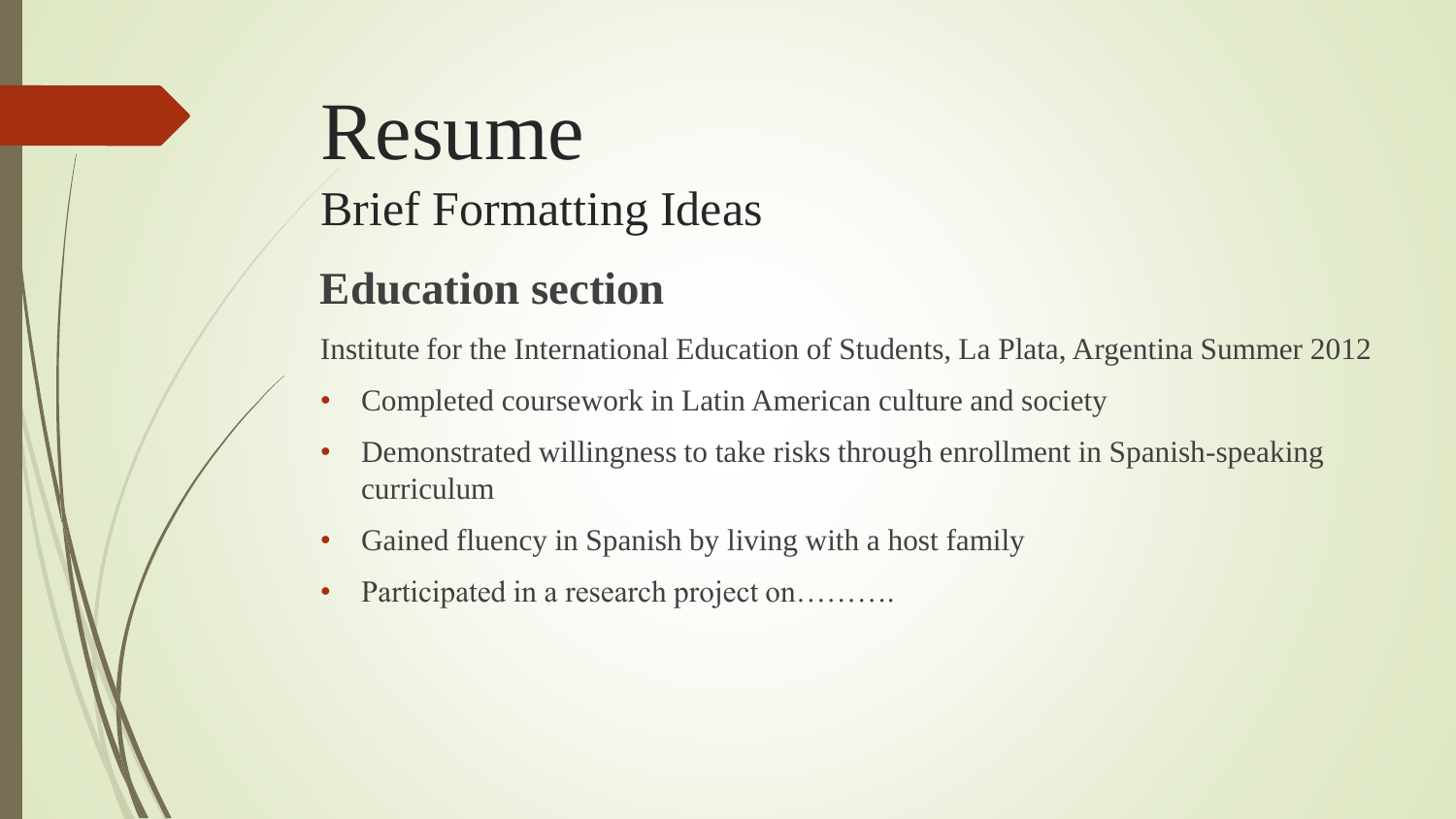# Resume Brief Formatting Ideas

### **Education section**

Institute for the International Education of Students, La Plata, Argentina Summer 2012

- Completed coursework in Latin American culture and society
- Demonstrated willingness to take risks through enrollment in Spanish-speaking curriculum
- Gained fluency in Spanish by living with a host family
- Participated in a research project on……….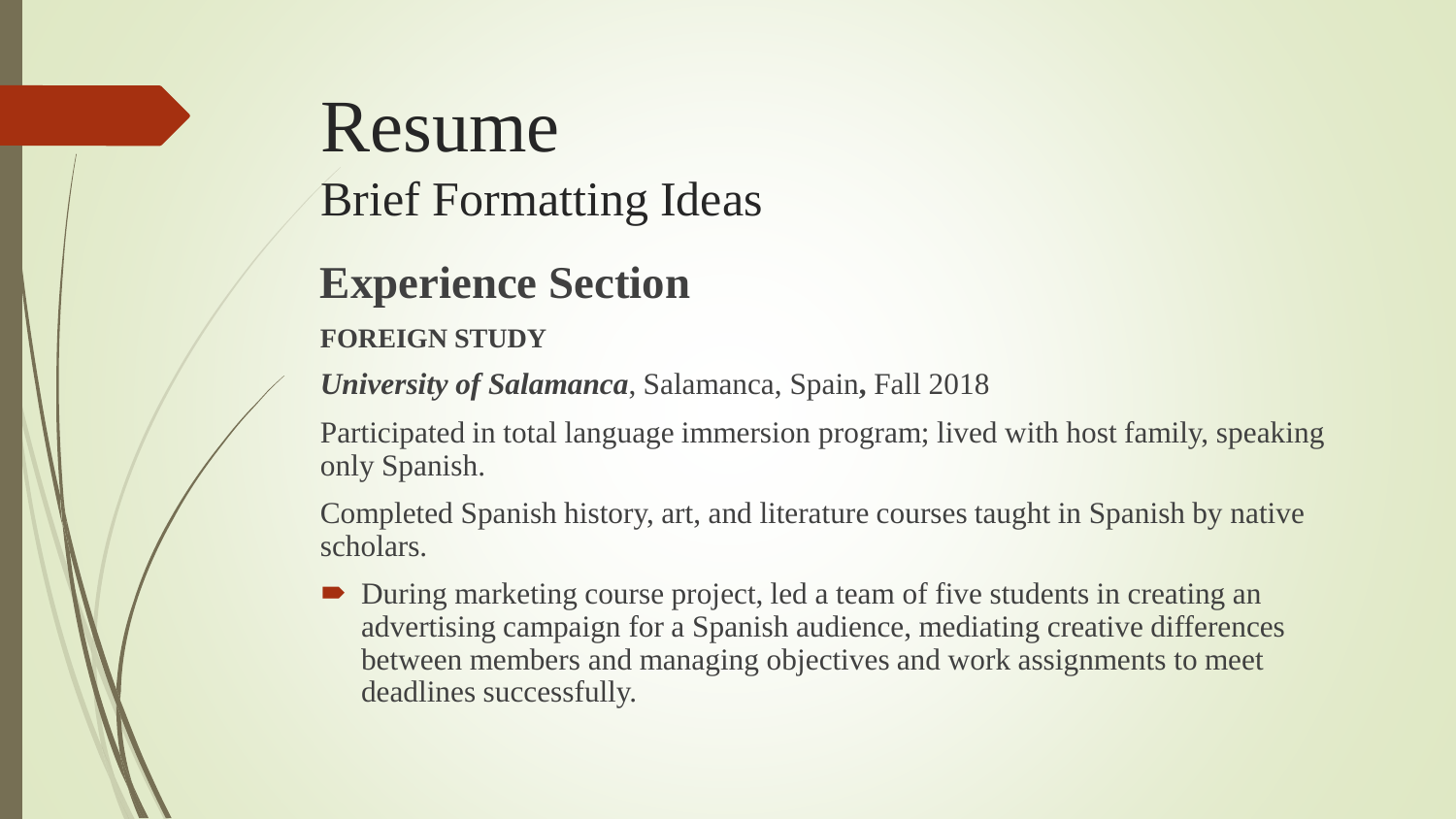### Resume Brief Formatting Ideas

#### **Experience Section**

#### **FOREIGN STUDY**

*University of Salamanca*, Salamanca, Spain**,** Fall 2018

Participated in total language immersion program; lived with host family, speaking only Spanish.

Completed Spanish history, art, and literature courses taught in Spanish by native scholars.

 During marketing course project, led a team of five students in creating an advertising campaign for a Spanish audience, mediating creative differences between members and managing objectives and work assignments to meet deadlines successfully.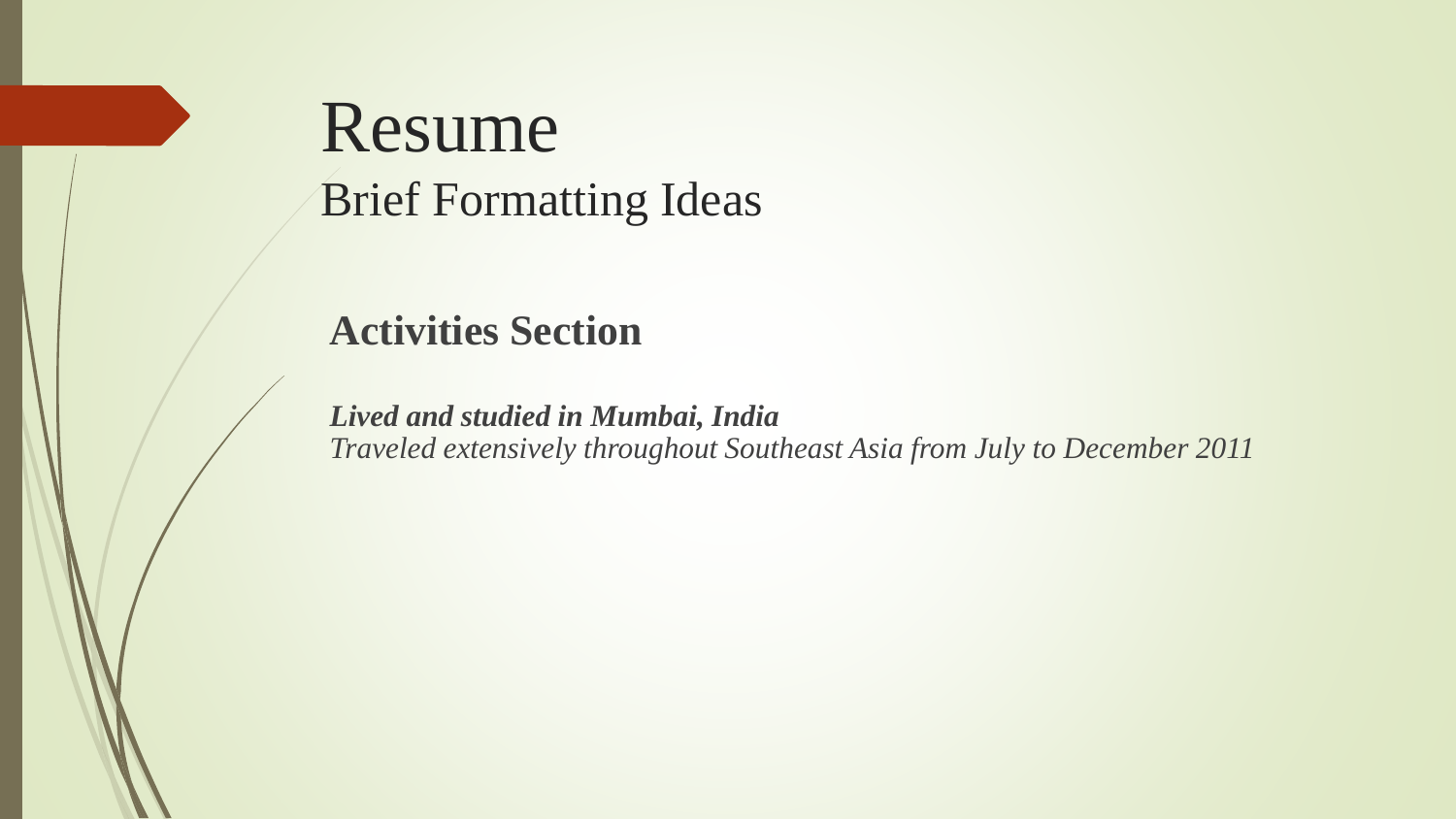### Resume Brief Formatting Ideas

#### **Activities Section**

*Lived and studied in Mumbai, India Traveled extensively throughout Southeast Asia from July to December 2011*